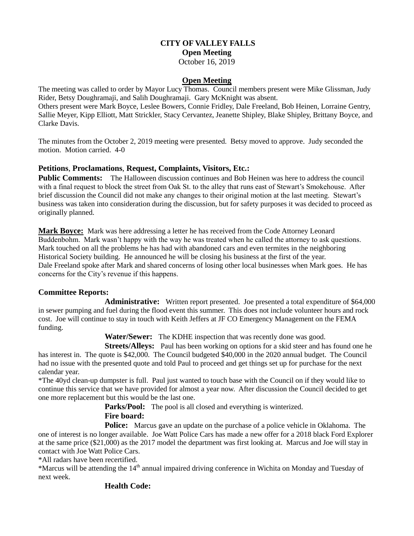### **CITY OF VALLEY FALLS Open Meeting** October 16, 2019

#### **Open Meeting**

The meeting was called to order by Mayor Lucy Thomas. Council members present were Mike Glissman, Judy Rider, Betsy Doughramaji, and Salih Doughramaji. Gary McKnight was absent.

Others present were Mark Boyce, Leslee Bowers, Connie Fridley, Dale Freeland, Bob Heinen, Lorraine Gentry, Sallie Meyer, Kipp Elliott, Matt Strickler, Stacy Cervantez, Jeanette Shipley, Blake Shipley, Brittany Boyce, and Clarke Davis.

The minutes from the October 2, 2019 meeting were presented. Betsy moved to approve. Judy seconded the motion. Motion carried. 4-0

### **Petitions**, **Proclamations**, **Request, Complaints, Visitors, Etc.:**

**Public Comments:** The Halloween discussion continues and Bob Heinen was here to address the council with a final request to block the street from Oak St. to the alley that runs east of Stewart's Smokehouse. After brief discussion the Council did not make any changes to their original motion at the last meeting. Stewart's business was taken into consideration during the discussion, but for safety purposes it was decided to proceed as originally planned.

Mark Boyce: Mark was here addressing a letter he has received from the Code Attorney Leonard Buddenbohm. Mark wasn't happy with the way he was treated when he called the attorney to ask questions. Mark touched on all the problems he has had with abandoned cars and even termites in the neighboring Historical Society building. He announced he will be closing his business at the first of the year. Dale Freeland spoke after Mark and shared concerns of losing other local businesses when Mark goes. He has concerns for the City's revenue if this happens.

### **Committee Reports:**

**Administrative:** Written report presented. Joe presented a total expenditure of \$64,000 in sewer pumping and fuel during the flood event this summer. This does not include volunteer hours and rock cost. Joe will continue to stay in touch with Keith Jeffers at JF CO Emergency Management on the FEMA funding.

**Water/Sewer:** The KDHE inspection that was recently done was good.

**Streets/Alleys:** Paul has been working on options for a skid steer and has found one he has interest in. The quote is \$42,000. The Council budgeted \$40,000 in the 2020 annual budget. The Council had no issue with the presented quote and told Paul to proceed and get things set up for purchase for the next calendar year.

\*The 40yd clean-up dumpster is full. Paul just wanted to touch base with the Council on if they would like to continue this service that we have provided for almost a year now. After discussion the Council decided to get one more replacement but this would be the last one.

**Parks/Pool:** The pool is all closed and everything is winterized.

## **Fire board:**

**Police:** Marcus gave an update on the purchase of a police vehicle in Oklahoma. The one of interest is no longer available. Joe Watt Police Cars has made a new offer for a 2018 black Ford Explorer at the same price (\$21,000) as the 2017 model the department was first looking at. Marcus and Joe will stay in contact with Joe Watt Police Cars.

\*All radars have been recertified.

\*Marcus will be attending the 14th annual impaired driving conference in Wichita on Monday and Tuesday of next week.

## **Health Code:**